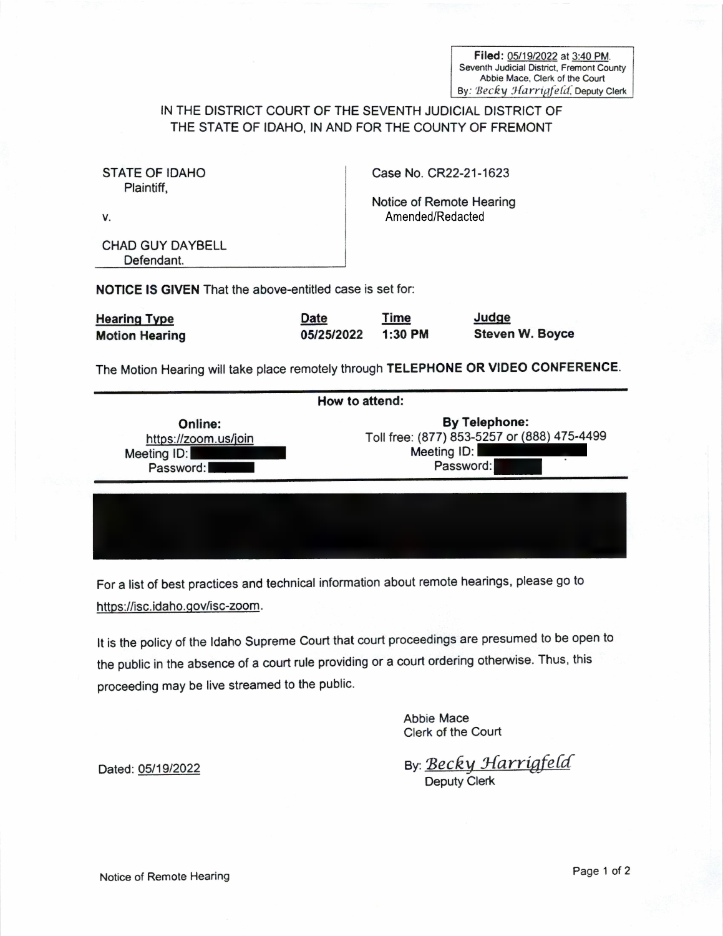Filed: 05/19/2022 at 3:40 PM. Seventh Judicial District. Fremont County Abbie Mace. Clerk of the Court By: Becky Harrigfeld, Deputy Clerk

## IN THE DISTRICT COURT OF THE SEVENTH JUDICIAL DISTRICT OF THE STATE OF IDAHO, IN AND FOR THE COUNTY OF FREMONT

| STATE OF IDAHO<br>Plaintiff.                                                       | Case No. CR22-21-1623     |                                                                                                 |                                 |  |
|------------------------------------------------------------------------------------|---------------------------|-------------------------------------------------------------------------------------------------|---------------------------------|--|
| V.                                                                                 |                           | Notice of Remote Hearing<br>Amended/Redacted                                                    |                                 |  |
| <b>CHAD GUY DAYBELL</b><br>Defendant.                                              |                           |                                                                                                 |                                 |  |
| <b>NOTICE IS GIVEN</b> That the above-entitled case is set for:                    |                           |                                                                                                 |                                 |  |
| <b>Hearing Type</b><br><b>Motion Hearing</b>                                       | <b>Date</b><br>05/25/2022 | <b>Time</b><br>$1:30$ PM                                                                        | Judge<br><b>Steven W. Boyce</b> |  |
| The Motion Hearing will take place remotely through TELEPHONE OR VIDEO CONFERENCE. |                           |                                                                                                 |                                 |  |
| How to attend:                                                                     |                           |                                                                                                 |                                 |  |
| <b>Online:</b><br>https://zoom.us/join<br>Meeting ID:<br>Password:                 |                           | <b>By Telephone:</b><br>Toll free: (877) 853-5257 or (888) 475-4499<br>Meeting ID:<br>Password: |                                 |  |

For a list of best practices and technical information about remote hearings, please go to https://isc.idaho.gov/isc-zoom.

It is the policy of the Idaho Supreme Court that court proceedings are presumed to be open to the public in the absence of a court rule providing or a court ordering otherwise. Thus, this proceeding may be live streamed to the public.

> Abbie Mace Clerk of the Court

Dated: <u>05/19/2022</u> By: <u>Becky Harrigfeld</u><br>Deputy Clerk